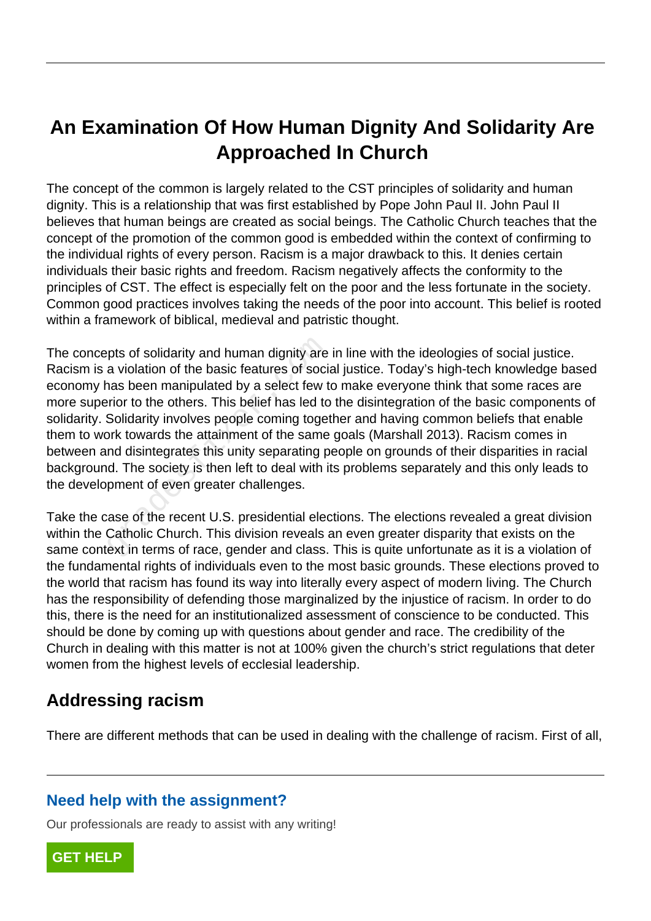# **An Examination Of How Human Dignity And Solidarity Are Approached In Church**

The concept of the common is largely related to the CST principles of solidarity and human dignity. This is a relationship that was first established by Pope John Paul II. John Paul II believes that human beings are created as social beings. The Catholic Church teaches that the concept of the promotion of the common good is embedded within the context of confirming to the individual rights of every person. Racism is a major drawback to this. It denies certain individuals their basic rights and freedom. Racism negatively affects the conformity to the principles of CST. The effect is especially felt on the poor and the less fortunate in the society. Common good practices involves taking the needs of the poor into account. This belief is rooted within a framework of biblical, medieval and patristic thought.

The concepts of solidarity and human dignity are in line with the ideologies of social justice. Racism is a violation of the basic features of social justice. Today's high-tech knowledge based economy has been manipulated by a select few to make everyone think that some races are more superior to the others. This belief has led to the disintegration of the basic components of solidarity. Solidarity involves people coming together and having common beliefs that enable them to work towards the attainment of the same goals (Marshall 2013). Racism comes in between and disintegrates this unity separating people on grounds of their disparities in racial background. The society is then left to deal with its problems separately and this only leads to the development of even greater challenges. pts of solidarity and human dignity are<br>a violation of the basic features of soci<br>nas been manipulated by a select few t<br>rior to the others. This belief has led to<br>Solidarity involves people coming toget<br>prk towards the at

Take the case of the recent U.S. presidential elections. The elections revealed a great division within the Catholic Church. This division reveals an even greater disparity that exists on the same context in terms of race, gender and class. This is quite unfortunate as it is a violation of the fundamental rights of individuals even to the most basic grounds. These elections proved to the world that racism has found its way into literally every aspect of modern living. The Church has the responsibility of defending those marginalized by the injustice of racism. In order to do this, there is the need for an institutionalized assessment of conscience to be conducted. This should be done by coming up with questions about gender and race. The credibility of the Church in dealing with this matter is not at 100% given the church's strict regulations that deter women from the highest levels of ecclesial leadership.

## **Addressing racism**

There are different methods that can be used in dealing with the challenge of racism. First of all,

## **Need help with the assignment?**

Our professionals are ready to assist with any writing!

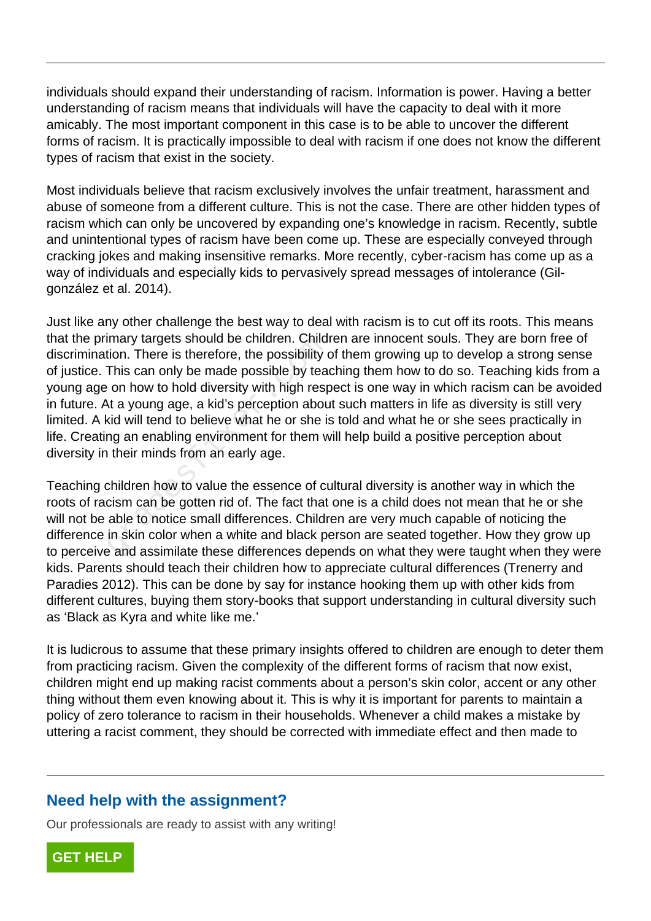individuals should expand their understanding of racism. Information is power. Having a better understanding of racism means that individuals will have the capacity to deal with it more amicably. The most important component in this case is to be able to uncover the different forms of racism. It is practically impossible to deal with racism if one does not know the different types of racism that exist in the society.

Most individuals believe that racism exclusively involves the unfair treatment, harassment and abuse of someone from a different culture. This is not the case. There are other hidden types of racism which can only be uncovered by expanding one's knowledge in racism. Recently, subtle and unintentional types of racism have been come up. These are especially conveyed through cracking jokes and making insensitive remarks. More recently, cyber-racism has come up as a way of individuals and especially kids to pervasively spread messages of intolerance (Gilgonzález et al. 2014).

Just like any other challenge the best way to deal with racism is to cut off its roots. This means that the primary targets should be children. Children are innocent souls. They are born free of discrimination. There is therefore, the possibility of them growing up to develop a strong sense of justice. This can only be made possible by teaching them how to do so. Teaching kids from a young age on how to hold diversity with high respect is one way in which racism can be avoided in future. At a young age, a kid's perception about such matters in life as diversity is still very limited. A kid will tend to believe what he or she is told and what he or she sees practically in life. Creating an enabling environment for them will help build a positive perception about diversity in their minds from an early age. Imary targets should be children. Children<br>tion. There is therefore, the possibility of<br>This can only be made possible by tead<br>on how to hold diversity with high resp<br>at a young age, a kid's perception about<br>id will tend t

Teaching children how to value the essence of cultural diversity is another way in which the roots of racism can be gotten rid of. The fact that one is a child does not mean that he or she will not be able to notice small differences. Children are very much capable of noticing the difference in skin color when a white and black person are seated together. How they grow up to perceive and assimilate these differences depends on what they were taught when they were kids. Parents should teach their children how to appreciate cultural differences (Trenerry and Paradies 2012). This can be done by say for instance hooking them up with other kids from different cultures, buying them story-books that support understanding in cultural diversity such as 'Black as Kyra and white like me.'

It is ludicrous to assume that these primary insights offered to children are enough to deter them from practicing racism. Given the complexity of the different forms of racism that now exist, children might end up making racist comments about a person's skin color, accent or any other thing without them even knowing about it. This is why it is important for parents to maintain a policy of zero tolerance to racism in their households. Whenever a child makes a mistake by uttering a racist comment, they should be corrected with immediate effect and then made to

#### **Need help with the assignment?**

Our professionals are ready to assist with any writing!